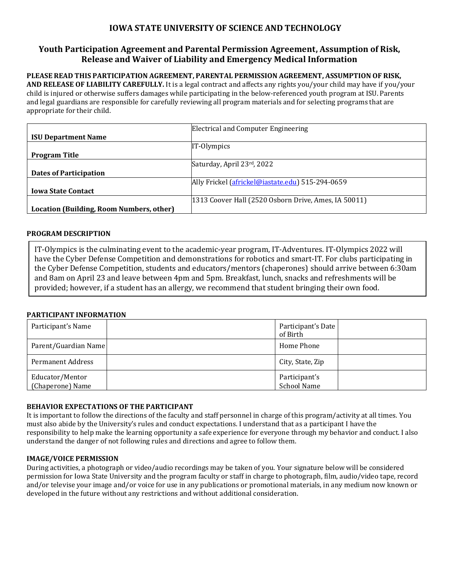# **IOWA STATE UNIVERSITY OF SCIENCE AND TECHNOLOGY**

## **Youth Participation Agreement and Parental Permission Agreement, Assumption of Risk, Release and Waiver of Liability and Emergency Medical Information**

## **PLEASE READ THIS PARTICIPATION AGREEMENT, PARENTAL PERMISSION AGREEMENT, ASSUMPTION OF RISK,**

**AND RELEASE OF LIABILITY CAREFULLY.** It is a legal contract and affects any rights you/your child may have if you/your child is injured or otherwise suffers damages while participating in the below-referenced youth program at ISU. Parents and legal guardians are responsible for carefully reviewing all program materials and for selecting programs that are appropriate for their child.

|                                          | Electrical and Computer Engineering                   |
|------------------------------------------|-------------------------------------------------------|
| <b>ISU Department Name</b>               |                                                       |
|                                          | IT-Olympics                                           |
| <b>Program Title</b>                     |                                                       |
|                                          | Saturday, April 23rd, 2022                            |
| <b>Dates of Participation</b>            |                                                       |
|                                          | Ally Frickel (africkel@iastate.edu) 515-294-0659      |
| <b>Iowa State Contact</b>                |                                                       |
|                                          | [1313 Coover Hall (2520 Osborn Drive, Ames, IA 50011) |
| Location (Building, Room Numbers, other) |                                                       |

### **PROGRAM DESCRIPTION**

IT-Olympics is the culminating event to the academic-year program, IT-Adventures. IT-Olympics 2022 will have the Cyber Defense Competition and demonstrations for robotics and smart-IT. For clubs participating in the Cyber Defense Competition, students and educators/mentors (chaperones) should arrive between 6:30am and 8am on April 23 and leave between 4pm and 5pm. Breakfast, lunch, snacks and refreshments will be provided; however, if a student has an allergy, we recommend that student bringing their own food.

### **PARTICIPANT INFORMATION**

| Participant's Name                  | Participant's Date<br>of Birth      |
|-------------------------------------|-------------------------------------|
| Parent/Guardian Name                | Home Phone                          |
| Permanent Address                   | City, State, Zip                    |
| Educator/Mentor<br>(Chaperone) Name | Participant's<br><b>School Name</b> |

### **BEHAVIOR EXPECTATIONS OF THE PARTICIPANT**

It is important to follow the directions of the faculty and staff personnel in charge of this program/activity at all times. You must also abide by the University's rules and conduct expectations. I understand that as a participant I have the responsibility to help make the learning opportunity a safe experience for everyone through my behavior and conduct. I also understand the danger of not following rules and directions and agree to follow them.

### **IMAGE/VOICE PERMISSION**

During activities, a photograph or video/audio recordings may be taken of you. Your signature below will be considered permission for Iowa State University and the program faculty or staff in charge to photograph, film, audio/video tape, record and/or televise your image and/or voice for use in any publications or promotional materials, in any medium now known or developed in the future without any restrictions and without additional consideration.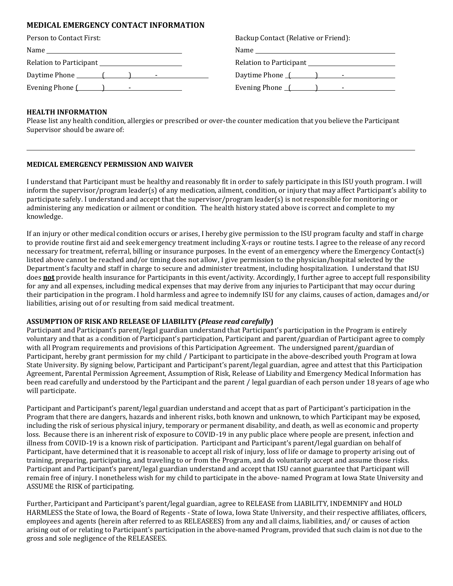#### **MEDICAL EMERGENCY CONTACT INFORMATION**

| Backup Contact (Relative or Friend |
|------------------------------------|
|                                    |
| Relation to Participant            |
| Daytime Phone () - -               |
| Evening Phone $($                  |
|                                    |

# Relative or Friend):  $\begin{pmatrix} 1 & 1 & 1 \\ 0 & 1 & 1 \end{pmatrix}$

#### **HEALTH INFORMATION**

Please list any health condition, allergies or prescribed or over-the counter medication that you believe the Participant Supervisor should be aware of:

#### **MEDICAL EMERGENCY PERMISSION AND WAIVER**

I understand that Participant must be healthy and reasonably fit in order to safely participate in this ISU youth program. I will inform the supervisor/program leader(s) of any medication, ailment, condition, or injury that may affect Participant's ability to participate safely. I understand and accept that the supervisor/program leader(s) is not responsible for monitoring or administering any medication or ailment or condition. The health history stated above is correct and complete to my knowledge.

If an injury or other medical condition occurs or arises, I hereby give permission to the ISU program faculty and staff in charge to provide routine first aid and seek emergency treatment including X‐rays or routine tests. I agree to the release of any record necessary for treatment, referral, billing or insurance purposes. In the event of an emergency where the Emergency Contact(s) listed above cannot be reached and/or timing does not allow, I give permission to the physician/hospital selected by the Department's faculty and staff in charge to secure and administer treatment, including hospitalization. I understand that ISU does **not** provide health insurance for Participants in this event/activity. Accordingly, I further agree to accept full responsibility for any and all expenses, including medical expenses that may derive from any injuries to Participant that may occur during their participation in the program. I hold harmless and agree to indemnify ISU for any claims, causes of action, damages and/or liabilities, arising out of or resulting from said medical treatment.

#### **ASSUMPTION OF RISK AND RELEASE OF LIABILITY (***Please read carefully***)**

Participant and Participant's parent/legal guardian understand that Participant's participation in the Program is entirely voluntary and that as a condition of Participant's participation, Participant and parent/guardian of Participant agree to comply with all Program requirements and provisions of this Participation Agreement. The undersigned parent/guardian of Participant, hereby grant permission for my child / Participant to participate in the above-described youth Program at Iowa State University. By signing below, Participant and Participant's parent/legal guardian, agree and attest that this Participation Agreement, Parental Permission Agreement, Assumption of Risk, Release of Liability and Emergency Medical Information has been read carefully and understood by the Participant and the parent / legal guardian of each person under 18 years of age who will participate.

Participant and Participant's parent/legal guardian understand and accept that as part of Participant's participation in the Program that there are dangers, hazards and inherent risks, both known and unknown, to which Participant may be exposed, including the risk of serious physical injury, temporary or permanent disability, and death, as well as economic and property loss. Because there is an inherent risk of exposure to COVID-19 in any public place where people are present, infection and illness from COVID-19 is a known risk of participation. Participant and Participant's parent/legal guardian on behalf of Participant, have determined that it is reasonable to accept all risk of injury, loss of life or damage to property arising out of training, preparing, participating, and traveling to or from the Program, and do voluntarily accept and assume those risks. Participant and Participant's parent/legal guardian understand and accept that ISU cannot guarantee that Participant will remain free of injury. I nonetheless wish for my child to participate in the above‐ named Program at Iowa State University and ASSUME the RISK of participating.

Further, Participant and Participant's parent/legal guardian, agree to RELEASE from LIABILITY, INDEMNIFY and HOLD HARMLESS the State of Iowa, the Board of Regents ‐ State of Iowa, Iowa State University, and their respective affiliates, officers, employees and agents (herein after referred to as RELEASEES) from any and all claims, liabilities, and/ or causes of action arising out of or relating to Participant's participation in the above‐named Program, provided that such claim is not due to the gross and sole negligence of the RELEASEES.